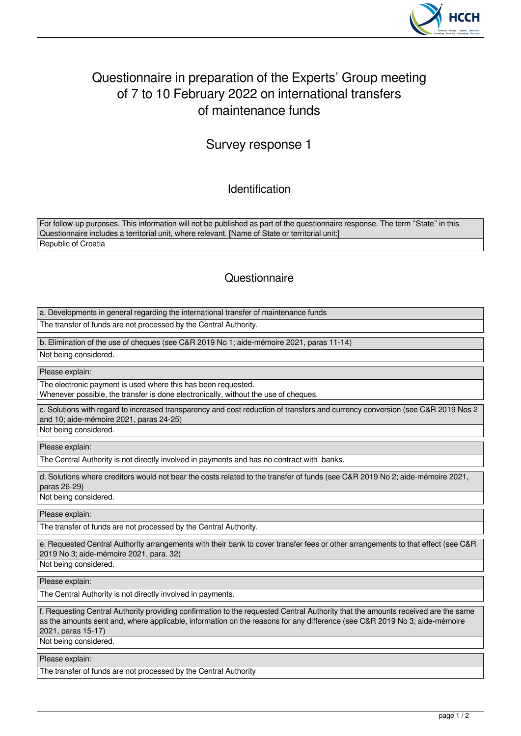

## Questionnaire in preparation of the Experts' Group meeting of 7 to 10 February 2022 on international transfers of maintenance funds

## Survey response 1

Identification

For follow-up purposes. This information will not be published as part of the questionnaire response. The term "State" in this Questionnaire includes a territorial unit, where relevant. [Name of State or territorial unit:] Republic of Croatia

## **Questionnaire**

a. Developments in general regarding the international transfer of maintenance funds

The transfer of funds are not processed by the Central Authority.

b. Elimination of the use of cheques (see C&R 2019 No 1; aide-mémoire 2021, paras 11-14)

Not being considered.

Please explain:

The electronic payment is used where this has been requested.

Whenever possible, the transfer is done electronically, without the use of cheques.

c. Solutions with regard to increased transparency and cost reduction of transfers and currency conversion (see C&R 2019 Nos 2 and 10; aide-mémoire 2021, paras 24-25)

Not being considered.

Please explain:

The Central Authority is not directly involved in payments and has no contract with banks.

d. Solutions where creditors would not bear the costs related to the transfer of funds (see C&R 2019 No 2; aide-mémoire 2021, paras 26-29)

Not being considered.

Please explain:

The transfer of funds are not processed by the Central Authority.

e. Requested Central Authority arrangements with their bank to cover transfer fees or other arrangements to that effect (see C&R 2019 No 3; aide-mémoire 2021, para. 32)

Not being considered.

Please explain:

The Central Authority is not directly involved in payments.

f. Requesting Central Authority providing confirmation to the requested Central Authority that the amounts received are the same as the amounts sent and, where applicable, information on the reasons for any difference (see C&R 2019 No 3; aide-mémoire 2021, paras 15-17)

Not being considered.

Please explain:

The transfer of funds are not processed by the Central Authority